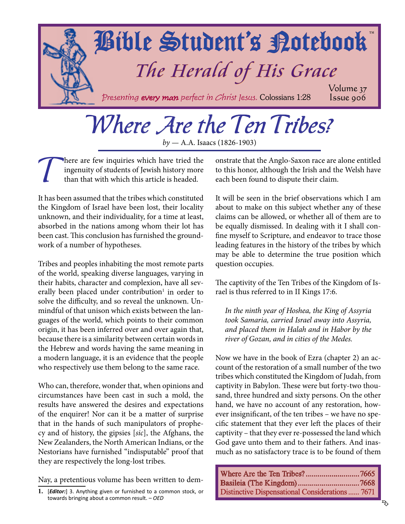<span id="page-0-0"></span>

### Where Are the Ten Tribes?

*by* — A.A. Isaacs (1826-1903)

There are few inquiries which have tried the ingenuity of students of Jewish history more than that with which this article is headed. ingenuity of students of Jewish history more than that with which this article is headed.

It has been assumed that the tribes which constituted the Kingdom of Israel have been lost, their locality unknown, and their individuality, for a time at least, absorbed in the nations among whom their lot has been cast. This conclusion has furnished the groundwork of a number of hypotheses.

Tribes and peoples inhabiting the most remote parts of the world, speaking diverse languages, varying in their habits, character and complexion, have all severally been placed under contribution<sup>1</sup> in order to solve the difficulty, and so reveal the unknown. Unmindful of that unison which exists between the languages of the world, which points to their common origin, it has been inferred over and over again that, because there is a similarity between certain words in the Hebrew and words having the same meaning in a modern language, it is an evidence that the people who respectively use them belong to the same race.

Who can, therefore, wonder that, when opinions and circumstances have been cast in such a mold, the results have answered the desires and expectations of the enquirer! Nor can it be a matter of surprise that in the hands of such manipulators of prophecy and of history, the gipsies [*sic*], the Afghans, the New Zealanders, the North American Indians, or the Nestorians have furnished "indisputable" proof that they are respectively the long-lost tribes.

Nay, a pretentious volume has been written to dem-

onstrate that the Anglo-Saxon race are alone entitled to this honor, although the Irish and the Welsh have each been found to dispute their claim.

It will be seen in the brief observations which I am about to make on this subject whether any of these claims can be allowed, or whether all of them are to be equally dismissed. In dealing with it I shall confine myself to Scripture, and endeavor to trace those leading features in the history of the tribes by which may be able to determine the true position which question occupies.

The captivity of the Ten Tribes of the Kingdom of Israel is thus referred to in II Kings 17:6.

*In the ninth year of Hoshea, the King of Assyria took Samaria, carried Israel away into Assyria, and placed them in Halah and in Habor by the river of Gozan, and in cities of the Medes.*

Now we have in the book of Ezra (chapter 2) an account of the restoration of a small number of the two tribes which constituted the Kingdom of Judah, from captivity in Babylon. These were but forty-two thousand, three hundred and sixty persons. On the other hand, we have no account of any restoration, however insignificant, of the ten tribes – we have no specific statement that they ever left the places of their captivity – that they ever re-possessed the land which God gave unto them and to their fathers. And inasmuch as no satisfactory trace is to be found of them

Where Are the Ten Tribes? ...........................7665 [Basileia \(The Kingdom\)...............................7668](#page-3-0) [Distinctive Dispensational Considerations......](#page-6-0) 7671

**<sup>1.</sup>** [*Editor:*] 3. Anything given or furnished to a common stock, or towards bringing about a common result. – *OED*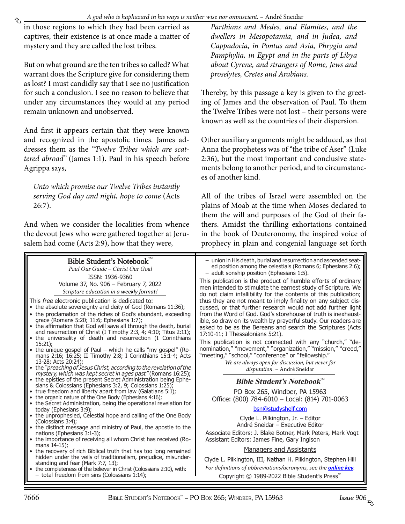<span id="page-1-0"></span>in those regions to which they had been carried as captives, their existence is at once made a matter of mystery and they are called the lost tribes.

But on what ground are the ten tribes so called? What warrant does the Scripture give for considering them as lost? I must candidly say that I see no justification for such a conclusion. I see no reason to believe that under any circumstances they would at any period remain unknown and unobserved.

And first it appears certain that they were known and recognized in the apostolic times. James addresses them as the *"Twelve Tribes which are scattered abroad"* (James 1:1). Paul in his speech before Agrippa says,

*Unto which promise our Twelve Tribes instantly serving God day and night, hope to come* (Acts 26:7).

And when we consider the localities from whence the devout Jews who were gathered together at Jerusalem had come (Acts 2:9), how that they were,

*Parthians and Medes, and Elamites, and the dwellers in Mesopotamia, and in Judea, and Cappadocia, in Pontus and Asia, Phrygia and Pamphylia, in Egypt and in the parts of Libya about Cyrene, and strangers of Rome, Jews and proselytes, Cretes and Arabians.*

Thereby, by this passage a key is given to the greeting of James and the observation of Paul. To them the Twelve Tribes were not lost – their persons were known as well as the countries of their dispersion.

Other auxiliary arguments might be adduced, as that Anna the prophetess was of "the tribe of Aser" (Luke 2:36), but the most important and conclusive statements belong to another period, and to circumstances of another kind.

All of the tribes of Israel were assembled on the plains of Moab at the time when Moses declared to them the will and purposes of the God of their fathers. Amidst the thrilling exhortations contained in the book of Deuteronomy, the inspired voice of prophecy in plain and congenial language set forth

| Bible Student's Notebook"<br>Paul Our Guide – Christ Our Goal<br>ISSN: 1936-9360<br>Volume 37, No. 906 - February 7, 2022<br>Scripture education in a weekly format!<br>This free electronic publication is dedicated to:<br>• the absolute sovereignty and deity of God (Romans 11:36);<br>• the proclamation of the riches of God's abundant, exceeding<br>grace (Romans 5:20; 11:6; Ephesians 1:7);<br>• the affirmation that God will save all through the death, burial<br>and resurrection of Christ (I Timothy 2:3, 4; 4:10; Titus 2:11);<br>• the universality of death and resurrection (I Corinthians<br>$15:21$ ;<br>• the unique gospel of Paul – which he calls "my gospel" (Ro-<br>mans 2:16; 16:25; II Timothy 2:8; I Corinthians 15:1-4; Acts<br>13-28: Acts 20:24):<br>• the "preaching of Jesus Christ, according to the revelation of the | - union in His death, burial and resurrection and ascended seat-<br>ed position among the celestials (Romans 6; Ephesians 2:6);<br>- adult sonship position (Ephesians 1:5).<br>This publication is the product of humble efforts of ordinary<br>men intended to stimulate the earnest study of Scripture. We<br>do not claim infallibility for the contents of this publication;<br>thus they are not meant to imply finality on any subject dis-<br>cussed, or that further research would not add further light<br>from the Word of God, God's storehouse of truth is inexhaust-<br>ible, so draw on its wealth by prayerful study. Our readers are<br>asked to be as the Bereans and search the Scriptures (Acts<br>17:10-11; I Thessalonians 5:21).<br>This publication is not connected with any "church," "de-<br>nomination," "movement," "organization," "mission," "creed,"<br>"meeting," "school," "conference" or "fellowship."<br>We are always open for discussion, but never for<br>disputation. - André Sneidar |
|--------------------------------------------------------------------------------------------------------------------------------------------------------------------------------------------------------------------------------------------------------------------------------------------------------------------------------------------------------------------------------------------------------------------------------------------------------------------------------------------------------------------------------------------------------------------------------------------------------------------------------------------------------------------------------------------------------------------------------------------------------------------------------------------------------------------------------------------------------------|---------------------------------------------------------------------------------------------------------------------------------------------------------------------------------------------------------------------------------------------------------------------------------------------------------------------------------------------------------------------------------------------------------------------------------------------------------------------------------------------------------------------------------------------------------------------------------------------------------------------------------------------------------------------------------------------------------------------------------------------------------------------------------------------------------------------------------------------------------------------------------------------------------------------------------------------------------------------------------------------------------------------------------|
| mystery, which was kept secret in ages past" (Romans 16:25);<br>• the epistles of the present Secret Administration being Ephe-<br>sians & Colossians (Ephesians 3:2, 9; Colossians 1:25);<br>• true freedom and liberty apart from law (Galatians 5:1);<br>• the organic nature of the One Body (Ephesians 4:16);<br>• the Secret Administration, being the operational revelation for                                                                                                                                                                                                                                                                                                                                                                                                                                                                      | Bible Student's Notebook <sup><math>M</math></sup><br>PO Box 265, Windber, PA 15963<br>Office: (800) 784-6010 - Local: (814) 701-0063                                                                                                                                                                                                                                                                                                                                                                                                                                                                                                                                                                                                                                                                                                                                                                                                                                                                                           |
| today (Ephesians 3:9);<br>• the unprophesied, Celestial hope and calling of the One Body<br>(Colossians 3:4);<br>• the distinct message and ministry of Paul, the apostle to the<br>nations (Ephesians 3:1-3);<br>• the importance of receiving all whom Christ has received (Ro-<br>mans 14-15);<br>• the recovery of rich Biblical truth that has too long remained                                                                                                                                                                                                                                                                                                                                                                                                                                                                                        | bsn@studyshelf.com<br>Clyde L. Pilkington, Jr. - Editor<br>André Sneidar - Executive Editor<br>Associate Editors: J. Blake Botner, Mark Peters, Mark Vogt<br>Assistant Editors: James Fine, Gary Ingison<br><b>Managers and Assistants</b>                                                                                                                                                                                                                                                                                                                                                                                                                                                                                                                                                                                                                                                                                                                                                                                      |
| hidden under the veils of traditionalism, prejudice, misunder-<br>standing and fear (Mark 7:7, 13);<br>• the completeness of the believer in Christ (Colossians 2:10), with:<br>- total freedom from sins (Colossians 1:14);                                                                                                                                                                                                                                                                                                                                                                                                                                                                                                                                                                                                                                 | Clyde L. Pilkington, III, Nathan H. Pilkington, Stephen Hill<br>For definitions of abbreviations/acronyms, see the <b>online key</b> .<br>Copyright © 1989-2022 Bible Student's Press <sup>™</sup>                                                                                                                                                                                                                                                                                                                                                                                                                                                                                                                                                                                                                                                                                                                                                                                                                              |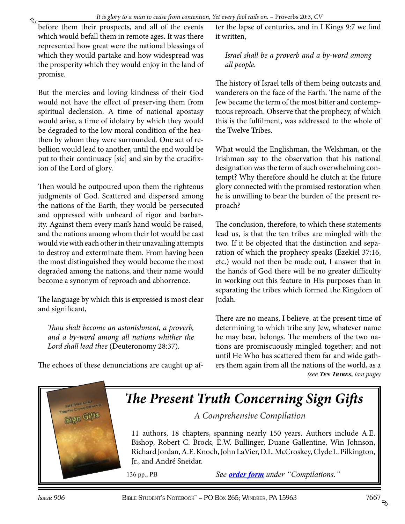<span id="page-2-0"></span>before them their prospects, and all of the events which would befall them in remote ages. It was there represented how great were the national blessings of which they would partake and how widespread was the prosperity which they would enjoy in the land of promise.

But the mercies and loving kindness of their God would not have the effect of preserving them from spiritual declension. A time of national apostasy would arise, a time of idolatry by which they would be degraded to the low moral condition of the heathen by whom they were surrounded. One act of rebellion would lead to another, until the end would be put to their continuacy [*sic*] and sin by the crucifixion of the Lord of glory.

Then would be outpoured upon them the righteous judgments of God. Scattered and dispersed among the nations of the Earth, they would be persecuted and oppressed with unheard of rigor and barbarity. Against them every man's hand would be raised, and the nations among whom their lot would be cast would vie with each other in their unavailing attempts to destroy and exterminate them. From having been the most distinguished they would become the most degraded among the nations, and their name would become a synonym of reproach and abhorrence.

The language by which this is expressed is most clear and significant,

*Thou shalt become an astonishment, a proverb, and a by-word among all nations whither the Lord shall lead thee* (Deuteronomy 28:37).

The echoes of these denunciations are caught up af-

ter the lapse of centuries, and in I Kings 9:7 we find it written,

*Israel shall be a proverb and a by-word among all people.*

The history of Israel tells of them being outcasts and wanderers on the face of the Earth. The name of the Jew became the term of the most bitter and contemptuous reproach. Observe that the prophecy, of which this is the fulfilment, was addressed to the whole of the Twelve Tribes.

What would the Englishman, the Welshman, or the Irishman say to the observation that his national designation was the term of such overwhelming contempt? Why therefore should he clutch at the future glory connected with the promised restoration when he is unwilling to bear the burden of the present reproach?

The conclusion, therefore, to which these statements lead us, is that the ten tribes are mingled with the two. If it be objected that the distinction and separation of which the prophecy speaks (Ezekiel 37:16, etc.) would not then be made out, I answer that in the hands of God there will be no greater difficulty in working out this feature in His purposes than in separating the tribes which formed the Kingdom of Judah.

There are no means, I believe, at the present time of determining to which tribe any Jew, whatever name he may bear, belongs. The members of the two nations are promiscuously mingled together; and not until He Who has scattered them far and wide gathers them again from all the nations of the world, as a *(see [Ten Tribes](#page-7-0), last page)*

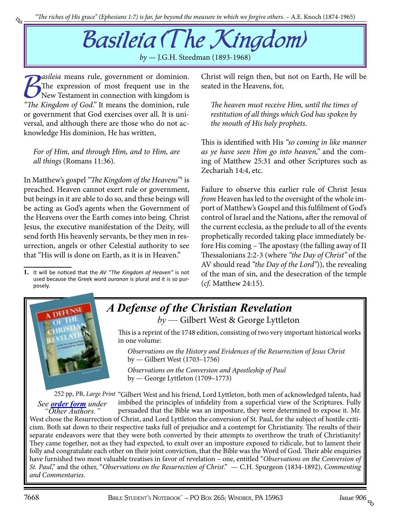# Basileia (The Kingdom)

*by —* J.G.H. Steedman (1893-1968)

**19 Exploration School System School School School School School School School School School School School School School School School School School School School School School School School School School School School Sch** *asileia* means rule, government or dominion. The expression of most frequent use in the New Testament in connection with kingdom is or government that God exercises over all. It is universal, and although there are those who do not acknowledge His dominion, He has written,

<span id="page-3-0"></span>₠

*For of Him, and through Him, and to Him, are all things* (Romans 11:36).

In Matthew's gospel *"The Kingdom of the Heavens"*<sup>1</sup> is preached. Heaven cannot exert rule or government, but beings in it are able to do so, and these beings will be acting as God's agents when the Government of the Heavens over the Earth comes into being. Christ Jesus, the executive manifestation of the Deity, will send forth His heavenly servants, be they men in resurrection, angels or other Celestial authority to see that "His will is done on Earth, as it is in Heaven."

**1.** It will be noticed that the *AV "The Kingdom of Heaven"* is not used because the Greek word *ouranon* is plural and it is so purposely.

Christ will reign then, but not on Earth, He will be seated in the Heavens, for,

*The heaven must receive Him, until the times of restitution of all things which God has spoken by the mouth of His holy prophets*.

This is identified with His *"so coming in like manner as ye have seen Him go into heaven,"* and the coming of Matthew 25:31 and other Scriptures such as Zechariah 14:4, etc.

Failure to observe this earlier rule of Christ Jesus *from* Heaven has led to the oversight of the whole import of Matthew's Gospel and this fulfilment of God's control of Israel and the Nations, after the removal of the current ecclesia, as the prelude to all of the events prophetically recorded taking place immediately before His coming – The apostasy (the falling away of II Thessalonians 2:2-3 (where *"the Day of Christ"* of the AV should read *"the Day of the Lord"*)), the revealing of the man of sin, and the desecration of the temple (*cf.* Matthew 24:15).



#### *A Defense of the Christian Revelation by* — Gilbert West & George Lyttleton

This is a reprint of the 1748 edition, consisting of two very important historical works in one volume:

*Observations on the History and Evidences of the Resurrection of Jesus Christ* by — Gilbert West (1703–1756)

*Observations on the Conversion and Apostleship of Paul* by — George Lyttleton (1709–1773)

252 pp, PB, *Large Print* "Gilbert West and his friend, Lord Lyttleton, both men of acknowledged talents, had imbibed the principles of infidelity from a superficial view of the Scriptures. Fully persuaded that the Bible was an imposture, they were determined to expose it. Mr. *See [order form](http://studyshelf.com/orderform-studyshelf.pdf) under "Other Authors."*

West chose the Resurrection of Christ, and Lord Lyttleton the conversion of St. Paul, for the subject of hostile criticism. Both sat down to their respective tasks full of prejudice and a contempt for Christianity. The results of their separate endeavors were that they were both converted by their attempts to overthrow the truth of Christianity! They came together, not as they had expected, to exult over an imposture exposed to ridicule, but to lament their [folly and congratulate each other on their joint conviction, that the Bible was the Word of God. Their able enquiries](http://www.studyshelf.com/1611books.htm#1725)  have furnished two most valuable treatises in favor of revelation – one, entitled "*Observations on the Conversion of St. Paul*," and the other, "*Observations on the Resurrection of Christ*." — C.H. Spurgeon (1834-1892), *Commenting and Commentaries.*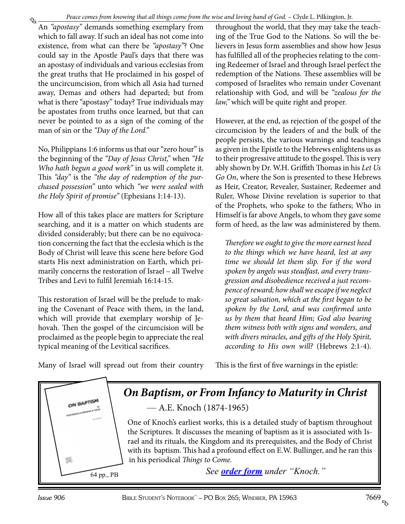<span id="page-4-0"></span>₠ An *"apostasy"* demands something exemplary from which to fall away. If such an ideal has not come into existence, from what can there be *"apostasy"*? One could say in the Apostle Paul's days that there was an apostasy of individuals and various ecclesias from the great truths that He proclaimed in his gospel of the uncircumcision, from which all Asia had turned away, Demas and others had departed; but from what is there "apostasy" today? True individuals may be apostates from truths once learned, but that can never be pointed to as a sign of the coming of the man of sin or the *"Day of the Lord."*

No, Philippians 1:6 informs us that our "zero hour" is the beginning of the *"Day of Jesus Christ,"* when *"He Who hath begun a good work"* in us will complete it. This *"day"* is the *"the day of redemption of the purchased possession"* unto which *"we were sealed with the Holy Spirit of promise"* (Ephesians 1:14-13).

How all of this takes place are matters for Scripture searching, and it is a matter on which students are divided considerably; but there can be no equivocation concerning the fact that the ecclesia which is the Body of Christ will leave this scene here before God starts His next administration on Earth, which primarily concerns the restoration of Israel – all Twelve Tribes and Levi to fulfil Jeremiah 16:14-15.

This restoration of Israel will be the prelude to making the Covenant of Peace with them, in the land, which will provide that exemplary worship of Jehovah. Then the gospel of the circumcision will be proclaimed as the people begin to appreciate the real typical meaning of the Levitical sacrifices.

throughout the world, that they may take the teaching of the True God to the Nations. So will the believers in Jesus form assemblies and show how Jesus has fulfilled all of the prophecies relating to the coming Redeemer of Israel and through Israel perfect the redemption of the Nations. These assemblies will be composed of Israelites who remain under Covenant relationship with God, and will be *"zealous for the law,"* which will be quite right and proper.

However, at the end, as rejection of the gospel of the circumcision by the leaders of and the bulk of the people persists, the various warnings and teachings as given in the Epistle to the Hebrews enlightens us as to their progressive attitude to the gospel. This is very ably shown by Dr. W.H. Griffith Thomas in his *Let Us Go On*, where the Son is presented to these Hebrews as Heir, Creator, Revealer, Sustainer, Redeemer and Ruler, Whose Divine revelation is superior to that of the Prophets, who spoke to the fathers; Who in Himself is far above Angels, to whom they gave some form of heed, as the law was administered by them.

*Therefore we ought to give the more earnest heed to the things which we have heard, lest at any time we should let them slip. For if the word spoken by angels was steadfast, and every transgression and disobedience received a just recompence of reward; how shall we escape if we neglect so great salvation, which at the first began to be spoken by the Lord, and was confirmed unto us by them that heard Him; God also bearing them witness both with signs and wonders, and with divers miracles, and gifts of the Holy Spirit, according to His own will?* (Hebrews 2:1-4).

This is the first of five warnings in the epistle:

Many of Israel will spread out from their country

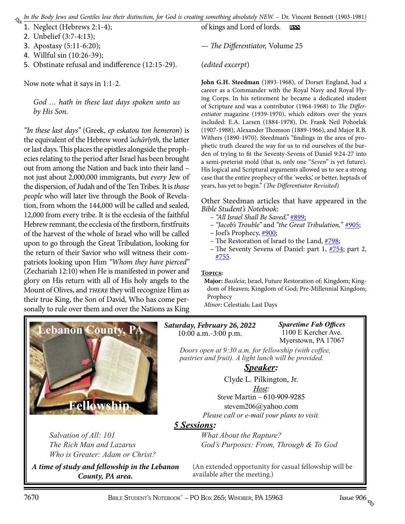- <span id="page-5-0"></span>1. Neglect (Hebrews 2:1-4);
- 2. Unbelief (3:7-4:13);
- 3. Apostasy (5:11-6:20);
- 4. Willful sin (10:26-39);
- 5. Obstinate refusal and indifference (12:15-29).

Now note what it says in 1:1-2.

*God … hath in these last days spoken unto us by His Son.*

*"In these last days"* (Greek, *ep eskatou ton hemeron*) is the equivalent of the Hebrew word *'achărîyth,* the latter or last days. This places the epistles alongside the prophecies relating to the period after Israel has been brought out from among the Nation and back into their land – not just about 2,000,000 immigrants, but *every* Jew of the dispersion, of Judah and of the Ten Tribes. It is *those people* who will later live through the Book of Revelation, from whom the 144,000 will be called and sealed, 12,000 from every tribe. It is the ecclesia of the faithful Hebrew remnant, the ecclesia of the firstborn, firstfruits of the harvest of the whole of Israel who will be called upon to go through the Great Tribulation, looking for the return of their Savior who will witness their compatriots looking upon Him *"Whom they have pierced"* (Zechariah 12:10) when He is manifested in power and glory on His return with all of His holy angels to the Mount of Olives, and *there* they will recognize Him as their true King, the Son of David, Who has come personally to rule over them and over the Nations as King

of kings and Lord of lords. **bsn**

— *The Differentiator,* Volume 25

#### (*edited excerpt*)

**John G.H. Steedman** (1893-1968), of Dorset England, had a career as a Commander with the Royal Navy and Royal Flying Corps. In his retirement he became a dedicated student of Scripture and was a contributor (1964-1968) to *The Differentiator* magazine (1939-1970), which editors over the years included: E.A. Larsen (1884-1978), Dr. Frank Neil Pohorlak (1907-1988), Alexander Thomson (1889-1966), and Major R.B. Withers (1890-1970). Steedman's "findings in the area of prophetic truth cleared the way for us to rid ourselves of the burden of trying to fit the Seventy-Sevens of Daniel 9:24-27 into a semi-preterist mold (that is, only one "*Seven*" is yet future). His logical and Scriptural arguments allowed us to see a strong case that the entire prophecy of the 'weeks,' or better, heptads of years, has yet to begin." (*The Differentiator Revisited*)

Other Steedman articles that have appeared in the *Bible Student's Notebook*:

- *"All Israel Shall Be Saved,"* [#899](http://www.biblestudentsnotebook.com/bsn899.pdf);
- *"Jacob's Trouble"* and *"the Great Tribulation,*" [#905](http://www.biblestudentsnotebook.com/bsn905.pdf);
- Joel's Prophecy, [#900;](http://www.biblestudentsnotebook.com/bsn900.pdf)
- The Restoration of Israel to the Land, [#798](http://www.biblestudentsnotebook.com/bsn798.pdf);
- The Seventy Sevens of Daniel: part 1,  $\frac{\#754}{}$ ; part 2, [#755.](http://www.biblestudentsnotebook.com/bsn755.pdf)

#### **Topics:**

**Major:** *Basileia*; Israel, Future Restoration of; Kingdom; Kingdom of Heaven; Kingdom of God; Pre-Millennial Kingdom; Prophecy

*Minor:* Celestials; Last Days



*Salvation of All: 101 The Rich Man and Lazarus Who is Greater: Adam or Christ?*

*A time of study and fellowship in the Lebanon County, PA area.*

*Saturday, February 26, 2022* 10:00 a.m.-3:00 p.m.

*Sparetime Fab Offices* 1100 E Kercher Ave. Myerstown, PA 17067

*Doors open at 9:30 a.m. for fellowship (with coffee, pastries and fruit). A light lunch will be provided.*

#### *Speaker:*

Clyde L. Pilkington, Jr. *Host:* Steve Martin – 610-909-9285 stevem206@yahoo.com

*Please call or e-mail your plans to visit.*

#### *5 Sessions:*

*What About the Rapture? God's Purposes: From, Through & To God*

(An extended opportunity for casual fellowship will be available after the meeting.)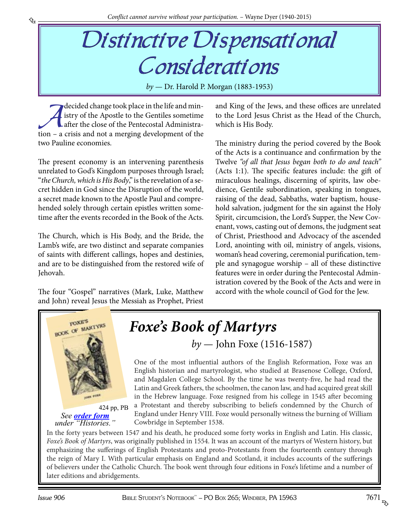## Distinctive Dispensational Considerations

*by* — Dr. Harold P. Morgan (1883-1953)

decided change took place in the life and min-<br>istry of the Apostle to the Gentiles sometime<br>after the close of the Pentecostal Administra-<br>tion – a crisis and not a merging development of the istry of the Apostle to the Gentiles sometime after the close of the Pentecostal Administration – a crisis and not a merging development of the two Pauline economies.

<span id="page-6-0"></span>₠

The present economy is an intervening parenthesis unrelated to God's Kingdom purposes through Israel; "*the Church, which is His Body*," is the revelation of a secret hidden in God since the Disruption of the world, a secret made known to the Apostle Paul and comprehended solely through certain epistles written sometime after the events recorded in the Book of the Acts.

The Church, which is His Body, and the Bride, the Lamb's wife, are two distinct and separate companies of saints with different callings, hopes and destinies, and are to be distinguished from the restored wife of Jehovah.

The four "Gospel" narratives (Mark, Luke, Matthew and John) reveal Jesus the Messiah as Prophet, Priest

and King of the Jews, and these offices are unrelated to the Lord Jesus Christ as the Head of the Church, which is His Body.

The ministry during the period covered by the Book of the Acts is a continuance and confirmation by the Twelve *"of all that Jesus began both to do and teach"* (Acts 1:1). The specific features include: the gift of miraculous healings, discerning of spirits, law obedience, Gentile subordination, speaking in tongues, raising of the dead, Sabbaths, water baptism, household salvation, judgment for the sin against the Holy Spirit, circumcision, the Lord's Supper, the New Covenant, vows, casting out of demons, the judgment seat of Christ, Priesthood and Advocacy of the ascended Lord, anointing with oil, ministry of angels, visions, woman's head covering, ceremonial purification, temple and synagogue worship – all of these distinctive features were in order during the Pentecostal Administration covered by the Book of the Acts and were in accord with the whole council of God for the Jew.



424 pp, PB *See [order form](http://studyshelf.com/orderform-studyshelf.pdf) under "Histories."*

### *Foxe's Book of Martyrs by* — John Foxe (1516-1587)

One of the most influential authors of the English Reformation, Foxe was an English historian and martyrologist, who studied at Brasenose College, Oxford, and Magdalen College School. By the time he was twenty-five, he had read the Latin and Greek fathers, the schoolmen, the canon law, and had acquired great skill in the Hebrew language. Foxe resigned from his college in 1545 after becoming a Protestant and thereby subscribing to beliefs condemned by the Church of England under Henry VIII. Foxe would personally witness the burning of William Cowbridge in September 1538.

In the forty years between 1547 and his death, he produced some forty works in English and Latin. His classic, *Foxe's Book of Martyrs*, was originally published in 1554. It was an account of the martyrs of Western history, but emphasizing the sufferings of English Protestants and proto-Protestants from the fourteenth century through the reign of Mary I. With particular emphasis on England and Scotland, it includes accounts of the sufferings [of believers under the Catholic Church. The book went through four editions in Foxe's lifetime and a number of](http://www.studyshelf.com/churchhis.htm#2640)  later editions and abridgements.